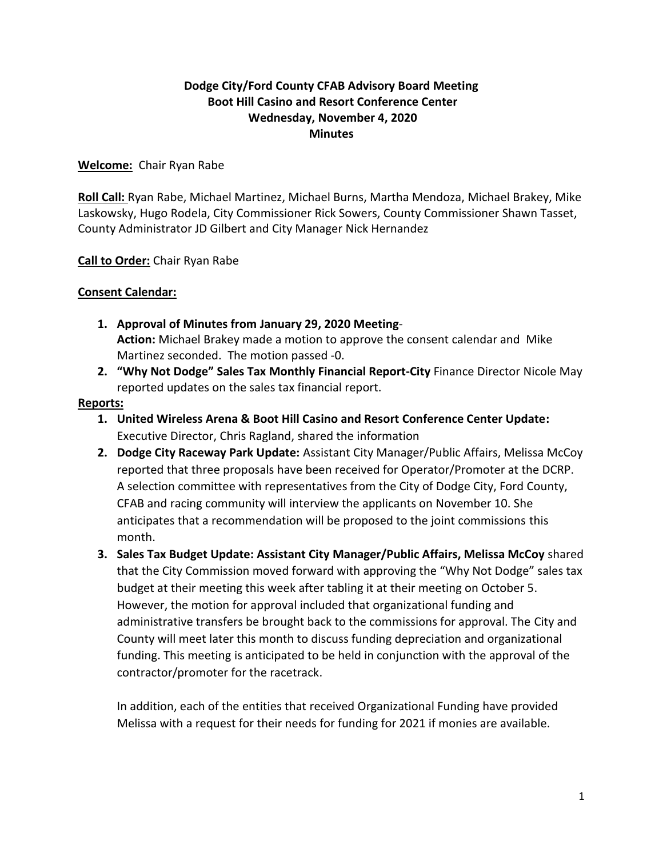# **Dodge City/Ford County CFAB Advisory Board Meeting Boot Hill Casino and Resort Conference Center Wednesday, November 4, 2020 Minutes**

# **Welcome:** Chair Ryan Rabe

**Roll Call:** Ryan Rabe, Michael Martinez, Michael Burns, Martha Mendoza, Michael Brakey, Mike Laskowsky, Hugo Rodela, City Commissioner Rick Sowers, County Commissioner Shawn Tasset, County Administrator JD Gilbert and City Manager Nick Hernandez

# **Call to Order:** Chair Ryan Rabe

# **Consent Calendar:**

- **1. Approval of Minutes from January 29, 2020 Meeting**-**Action:** Michael Brakey made a motion to approve the consent calendar and Mike Martinez seconded. The motion passed -0.
- **2. "Why Not Dodge" Sales Tax Monthly Financial Report-City** Finance Director Nicole May reported updates on the sales tax financial report.

#### **Reports:**

- **1. United Wireless Arena & Boot Hill Casino and Resort Conference Center Update:** Executive Director, Chris Ragland, shared the information
- **2. Dodge City Raceway Park Update:** Assistant City Manager/Public Affairs, Melissa McCoy reported that three proposals have been received for Operator/Promoter at the DCRP. A selection committee with representatives from the City of Dodge City, Ford County, CFAB and racing community will interview the applicants on November 10. She anticipates that a recommendation will be proposed to the joint commissions this month.
- **3. Sales Tax Budget Update: Assistant City Manager/Public Affairs, Melissa McCoy** shared that the City Commission moved forward with approving the "Why Not Dodge" sales tax budget at their meeting this week after tabling it at their meeting on October 5. However, the motion for approval included that organizational funding and administrative transfers be brought back to the commissions for approval. The City and County will meet later this month to discuss funding depreciation and organizational funding. This meeting is anticipated to be held in conjunction with the approval of the contractor/promoter for the racetrack.

In addition, each of the entities that received Organizational Funding have provided Melissa with a request for their needs for funding for 2021 if monies are available.